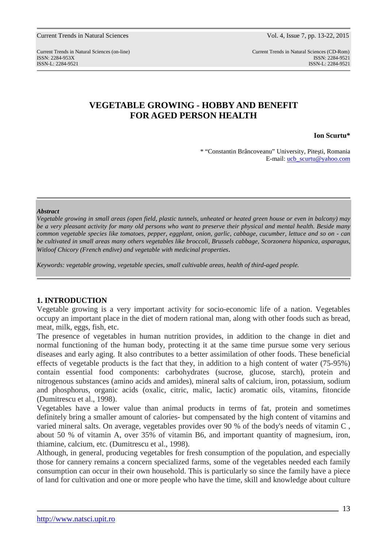Current Trends in Natural Sciences (on-line) Current Trends in Natural Sciences (CD-Rom) ISSN: 2284-953XISSN: 2284-9521 ISSN-L: 2284-9521 ISSN-L: 2284-9521

# **VEGETABLE GROWING - HOBBY AND BENEFIT FOR AGED PERSON HEALTH**

**Ion Scurtu\*** 

\* "Constantin Brâncoveanu" University, Piteşti, Romania E-mail: ucb\_scurtu@yahoo.com

#### *Abstract*

*Vegetable growing in small areas (open field, plastic tunnels, unheated or heated green house or even in balcony) may be a very pleasant activity for many old persons who want to preserve their physical and mental health. Beside many common vegetable species like tomatoes, pepper, eggplant, onion, garlic, cabbage, cucumber, lettuce and so on - can be cultivated in small areas many others vegetables like broccoli, Brussels cabbage, Scorzonera hispanica, asparagus, Witloof Chicory (French endive) and vegetable with medicinal properties*.

*Keywords: vegetable growing, vegetable species, small cultivable areas, health of third-aged people.* 

## **1. INTRODUCTION**

Vegetable growing is a very important activity for socio-economic life of a nation. Vegetables occupy an important place in the diet of modern rational man, along with other foods such as bread, meat, milk, eggs, fish, etc.

The presence of vegetables in human nutrition provides, in addition to the change in diet and normal functioning of the human body, protecting it at the same time pursue some very serious diseases and early aging. It also contributes to a better assimilation of other foods. These beneficial effects of vegetable products is the fact that they, in addition to a high content of water (75-95%) contain essential food components: carbohydrates (sucrose, glucose, starch), protein and nitrogenous substances (amino acids and amides), mineral salts of calcium, iron, potassium, sodium and phosphorus, organic acids (oxalic, citric, malic, lactic) aromatic oils, vitamins, fitoncide (Dumitrescu et al., 1998).

Vegetables have a lower value than animal products in terms of fat, protein and sometimes definitely bring a smaller amount of calories- but compensated by the high content of vitamins and varied mineral salts. On average, vegetables provides over 90 % of the body's needs of vitamin C , about 50 % of vitamin A, over 35% of vitamin B6, and important quantity of magnesium, iron, thiamine, calcium, etc. (Dumitrescu et al., 1998).

Although, in general, producing vegetables for fresh consumption of the population, and especially those for cannery remains a concern specialized farms, some of the vegetables needed each family consumption can occur in their own household. This is particularly so since the family have a piece of land for cultivation and one or more people who have the time, skill and knowledge about culture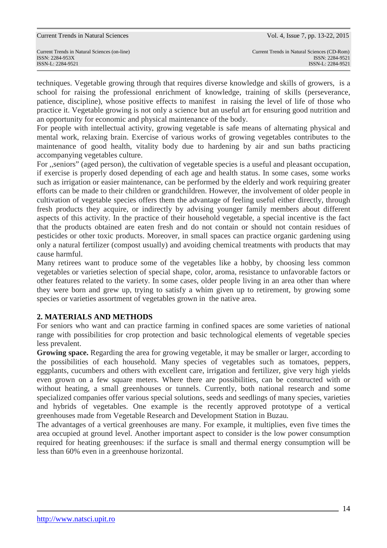techniques. Vegetable growing through that requires diverse knowledge and skills of growers, is a school for raising the professional enrichment of knowledge, training of skills (perseverance, patience, discipline), whose positive effects to manifest in raising the level of life of those who practice it. Vegetable growing is not only a science but an useful art for ensuring good nutrition and an opportunity for economic and physical maintenance of the body.

For people with intellectual activity, growing vegetable is safe means of alternating physical and mental work, relaxing brain. Exercise of various works of growing vegetables contributes to the maintenance of good health, vitality body due to hardening by air and sun baths practicing accompanying vegetables culture.

For ,,seniors" (aged person), the cultivation of vegetable species is a useful and pleasant occupation, if exercise is properly dosed depending of each age and health status. In some cases, some works such as irrigation or easier maintenance, can be performed by the elderly and work requiring greater efforts can be made to their children or grandchildren. However, the involvement of older people in cultivation of vegetable species offers them the advantage of feeling useful either directly, through fresh products they acquire, or indirectly by advising younger family members about different aspects of this activity. In the practice of their household vegetable, a special incentive is the fact that the products obtained are eaten fresh and do not contain or should not contain residues of pesticides or other toxic products. Moreover, in small spaces can practice organic gardening using only a natural fertilizer (compost usually) and avoiding chemical treatments with products that may cause harmful.

Many retirees want to produce some of the vegetables like a hobby, by choosing less common vegetables or varieties selection of special shape, color, aroma, resistance to unfavorable factors or other features related to the variety. In some cases, older people living in an area other than where they were born and grew up, trying to satisfy a whim given up to retirement, by growing some species or varieties assortment of vegetables grown in the native area.

# **2. MATERIALS AND METHODS**

For seniors who want and can practice farming in confined spaces are some varieties of national range with possibilities for crop protection and basic technological elements of vegetable species less prevalent.

**Growing space.** Regarding the area for growing vegetable, it may be smaller or larger, according to the possibilities of each household. Many species of vegetables such as tomatoes, peppers, eggplants, cucumbers and others with excellent care, irrigation and fertilizer, give very high yields even grown on a few square meters. Where there are possibilities, can be constructed with or without heating, a small greenhouses or tunnels. Currently, both national research and some specialized companies offer various special solutions, seeds and seedlings of many species, varieties and hybrids of vegetables. One example is the recently approved prototype of a vertical greenhouses made from Vegetable Research and Development Station in Buzau.

The advantages of a vertical greenhouses are many. For example, it multiplies, even five times the area occupied at ground level. Another important aspect to consider is the low power consumption required for heating greenhouses: if the surface is small and thermal energy consumption will be less than 60% even in a greenhouse horizontal.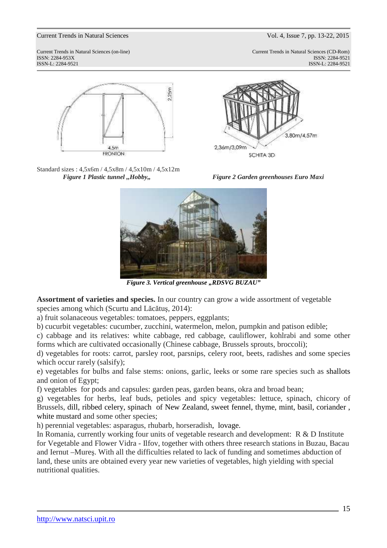Current Trends in Natural Sciences (on-line) Current Trends in Natural Sciences (CD-Rom) ISSN: 2284-953XISSN: 2284-9521 ISSN-L: 2284-9521 ISSN-L: 2284-9521











*Figure 3. Vertical greenhouse "RDSVG BUZAU"* 

**Assortment of varieties and species.** In our country can grow a wide assortment of vegetable species among which (Scurtu and Lăcătuş, 2014):

a) fruit solanaceous vegetables: tomatoes, peppers, eggplants;

b) cucurbit vegetables: cucumber, zucchini, watermelon, melon, pumpkin and patison edible;

c) cabbage and its relatives: white cabbage, red cabbage, cauliflower, kohlrabi and some other forms which are cultivated occasionally (Chinese cabbage, Brussels sprouts, broccoli);

d) vegetables for roots: carrot, parsley root, parsnips, celery root, beets, radishes and some species which occur rarely (salsify);

e) vegetables for bulbs and false stems: onions, garlic, leeks or some rare species such as shallots and onion of Egypt;

f) vegetables for pods and capsules: garden peas, garden beans, okra and broad bean;

g) vegetables for herbs, leaf buds, petioles and spicy vegetables: lettuce, spinach, chicory of Brussels, dill, ribbed celery, spinach of New Zealand, sweet fennel, thyme, mint, basil, coriander , white mustard and some other species;

h) perennial vegetables: asparagus, rhubarb, horseradish, lovage.

In Romania, currently working four units of vegetable research and development: R & D Institute for Vegetable and Flower Vidra - Ilfov, together with others three research stations in Buzau, Bacau and Iernut –Mureş. With all the difficulties related to lack of funding and sometimes abduction of land, these units are obtained every year new varieties of vegetables, high yielding with special nutritional qualities.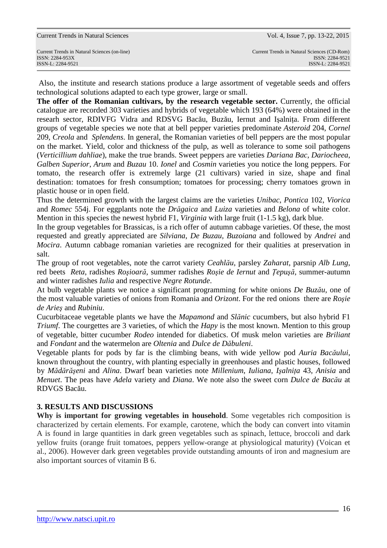ISSN-L: 2284-9521 ISSN-L: 2284-9521

 Also, the institute and research stations produce a large assortment of vegetable seeds and offers technological solutions adapted to each type grower, large or small.

The offer of the Romanian cultivars, by the research vegetable sector. Currently, the official catalogue are recorded 303 varieties and hybrids of vegetable which 193 (64%) were obtained in the researh sector, RDIVFG Vidra and RDSVG Bacău, Buzău, Iernut and Isalnita. From different groups of vegetable species we note that at bell pepper varieties predominate *Asteroid* 204, *Cornel* 209, *Creola* and *Splendens*. In general, the Romanian varieties of bell peppers are the most popular on the market. Yield, color and thickness of the pulp, as well as tolerance to some soil pathogens (*Verticillium dahliae*), make the true brands. Sweet peppers are varieties *Dariana Bac*, *Dariocheea*, *Galben Superior*, *Arum* and *Buzau* 10. *Ionel* and *Cosmin* varieties you notice the long peppers. For tomato, the research offer is extremely large (21 cultivars) varied in size, shape and final destination: tomatoes for fresh consumption; tomatoes for processing; cherry tomatoes grown in plastic house or in open field.

Thus the determined growth with the largest claims are the varieties *Unibac*, *Pontica* 102, *Viorica* and *Romec* 554j. For eggplants note the *Drăgaica* and *Luiza* varieties and *Belona* of white color. Mention in this species the newest hybrid F1, *Virginia* with large fruit (1-1.5 kg), dark blue.

In the group vegetables for Brassicas, is a rich offer of autumn cabbage varieties. Of these, the most requested and greatly appreciated are *Silviana*, *De Buzau*, *Buzoiana* and followed by *Andrei* and *Mocira*. Autumn cabbage romanian varieties are recognized for their qualities at preservation in salt.

The group of root vegetables, note the carrot variety *Ceahlău*, parsley *Zaharat*, parsnip *Alb Lung*, red beets *Reta*, radishes *Roşioară*, summer radishes *Roşie de Iernut* and *Ţepuşă*, summer-autumn and winter radishes *Iulia* and respective *Negre Rotunde*.

At bulb vegetable plants we notice a significant programming for white onions *De Buzău*, one of the most valuable varieties of onions from Romania and *Orizont*. For the red onions there are *Roşie de Arieş* and *Rubiniu*.

Cucurbitaceae vegetable plants we have the *Mapamond* and *Slănic* cucumbers, but also hybrid F1 *Triumf*. The courgettes are 3 varieties, of which the *Hapy* is the most known. Mention to this group of vegetable, bitter cucumber *Rodeo* intended for diabetics. Of musk melon varieties are *Briliant* and *Fondant* and the watermelon are *Oltenia* and *Dulce de Dăbuleni*.

Vegetable plants for pods by far is the climbing beans, with wide yellow pod *Auria Bacăului*, known throughout the country, with planting especially in greenhouses and plastic houses, followed by *Mădărăşeni* and *Alina*. Dwarf bean varieties note *Millenium*, *Iuliana*, *Işalniţa* 43, *Anisia* and *Menuet*. The peas have *Adela* variety and *Diana*. We note also the sweet corn *Dulce de Bacău* at RDVGS Bacău.

# **3. RESULTS AND DISCUSSIONS**

**Why is important for growing vegetables in household**. Some vegetables rich composition is characterized by certain elements. For example, carotene, which the body can convert into vitamin A is found in large quantities in dark green vegetables such as spinach, lettuce, broccoli and dark yellow fruits (orange fruit tomatoes, peppers yellow-orange at physiological maturity) (Voican et al., 2006). However dark green vegetables provide outstanding amounts of iron and magnesium are also important sources of vitamin B 6.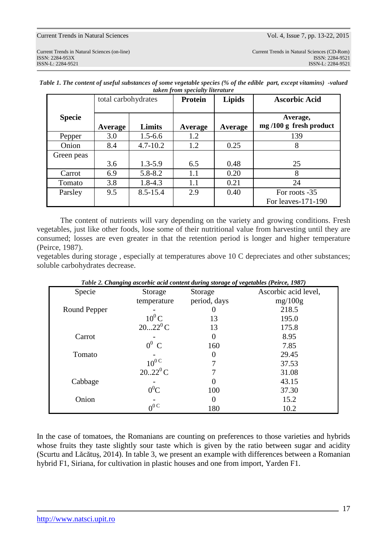|               | total carbohydrates |              | Protein | <b>Lipids</b> | <b>Ascorbic Acid</b>                 |  |
|---------------|---------------------|--------------|---------|---------------|--------------------------------------|--|
| <b>Specie</b> | Limits<br>Average   |              | Average | Average       | Average,<br>$mg/100 g$ fresh product |  |
| Pepper        | 3.0                 | $1.5 - 6.6$  | 1.2     |               | 139                                  |  |
| Onion         | 8.4                 | $4.7 - 10.2$ | 1.2     | 0.25          | 8                                    |  |
| Green peas    |                     |              |         |               |                                      |  |
|               | 3.6                 | $1.3 - 5.9$  | 6.5     | 0.48          | 25                                   |  |
| Carrot        | 6.9                 | $5.8 - 8.2$  | 1.1     | 0.20          | 8                                    |  |
| Tomato        | 3.8                 | $1.8 - 4.3$  | 1.1     | 0.21          | 24                                   |  |
| Parsley       | 9.5                 | $8.5 - 15.4$ | 2.9     | 0.40          | For roots -35                        |  |
|               |                     |              |         |               | For leaves-171-190                   |  |

*Table 1. The content of useful substances of some vegetable species (% of the edible part, except vitamins) -valued taken from specialty literature* 

The content of nutrients will vary depending on the variety and growing conditions. Fresh vegetables, just like other foods, lose some of their nutritional value from harvesting until they are consumed; losses are even greater in that the retention period is longer and higher temperature (Peirce, 1987).

vegetables during storage , especially at temperatures above 10 C depreciates and other substances; soluble carbohydrates decrease.

| Table 2. Changing ascorbic acid content during storage of vegetables (Petrce, 1987) |                              |              |                      |  |  |
|-------------------------------------------------------------------------------------|------------------------------|--------------|----------------------|--|--|
| Specie                                                                              | Storage                      | Storage      | Ascorbic acid level, |  |  |
|                                                                                     | temperature                  | period, days | mg/100g              |  |  |
| Round Pepper                                                                        |                              |              | 218.5                |  |  |
|                                                                                     | $10^0$ C                     | 13           | 195.0                |  |  |
|                                                                                     | $2022^0C$                    | 13           | 175.8                |  |  |
| Carrot                                                                              |                              |              | 8.95                 |  |  |
|                                                                                     | $0^0$ C                      | 160          | 7.85                 |  |  |
| Tomato                                                                              |                              |              | 29.45                |  |  |
|                                                                                     | $\frac{10^{0}C}{20.22^{0}C}$ |              | 37.53                |  |  |
|                                                                                     |                              |              | 31.08                |  |  |
| Cabbage                                                                             |                              |              | 43.15                |  |  |
|                                                                                     | $0^0C$                       | 100          | 37.30                |  |  |
| Onion                                                                               |                              | $\theta$     | 15.2                 |  |  |
|                                                                                     | $00$ C                       | 180          | 10.2                 |  |  |

*Table 2. Changing ascorbic acid content during storage of vegetables (Peirce, 1987)*

In the case of tomatoes, the Romanians are counting on preferences to those varieties and hybrids whose fruits they taste slightly sour taste which is given by the ratio between sugar and acidity (Scurtu and Lăcătuş, 2014). In table 3, we present an example with differences between a Romanian hybrid F1, Siriana, for cultivation in plastic houses and one from import, Yarden F1.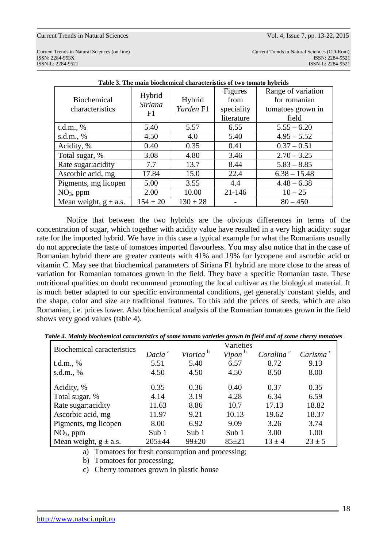ISSN-L: 2284-9521 ISSN-L: 2284-9521

Current Trends in Natural Sciences (on-line) Current Trends in Natural Sciences (CD-Rom) ISSN: 2284-953XISSN: 2284-9521

| Table 5. The main biochemical characteristics of two tomato hybrids |                                |                                |                                                    |                                                                  |  |
|---------------------------------------------------------------------|--------------------------------|--------------------------------|----------------------------------------------------|------------------------------------------------------------------|--|
| <b>Biochemical</b><br>characteristics                               | Hybrid<br><b>Siriana</b><br>F1 | Hybrid<br>Yarden <sub>F1</sub> | <b>Figures</b><br>from<br>speciality<br>literature | Range of variation<br>for romanian<br>tomatoes grown in<br>field |  |
| t.d.m., %                                                           | 5.40                           | 5.57                           | 6.55                                               | $5.55 - 6.20$                                                    |  |
| s.d.m., $%$                                                         | 4.50                           | 4.0                            | 5.40                                               | $4.95 - 5.52$                                                    |  |
| Acidity, %                                                          | 0.40                           | 0.35                           | 0.41                                               | $0.37 - 0.51$                                                    |  |
| Total sugar, %                                                      | 3.08                           | 4.80                           | 3.46                                               | $2.70 - 3.25$                                                    |  |
| Rate sugar: acidity                                                 | 7.7                            | 13.7                           | 8.44                                               | $5.83 - 8.85$                                                    |  |
| Ascorbic acid, mg                                                   | 17.84                          | 15.0                           | 22.4                                               | $6.38 - 15.48$                                                   |  |
| Pigments, mg licopen                                                | 5.00                           | 3.55                           | 4.4                                                | $4.48 - 6.38$                                                    |  |
| $NO3$ , ppm                                                         | 2.00                           | 10.00                          | $21 - 146$                                         | $10 - 25$                                                        |  |
| Mean weight, $g \pm a.s.$                                           | $154 \pm 20$                   | $130 \pm 28$                   |                                                    | $80 - 450$                                                       |  |

**Table 3. The main biochemical characteristics of two tomato hybrids** 

 Notice that between the two hybrids are the obvious differences in terms of the concentration of sugar, which together with acidity value have resulted in a very high acidity: sugar rate for the imported hybrid. We have in this case a typical example for what the Romanians usually do not appreciate the taste of tomatoes imported flavourless. You may also notice that in the case of Romanian hybrid there are greater contents with 41% and 19% for lycopene and ascorbic acid or vitamin C. May see that biochemical parameters of Siriana F1 hybrid are more close to the areas of variation for Romanian tomatoes grown in the field. They have a specific Romanian taste. These nutritional qualities no doubt recommend promoting the local cultivar as the biological material. It is much better adapted to our specific environmental conditions, get generally constant yields, and the shape, color and size are traditional features. To this add the prices of seeds, which are also Romanian, i.e. prices lower. Also biochemical analysis of the Romanian tomatoes grown in the field shows very good values (table 4).

| <b>Biochemical caracteristics</b> |                    |                      | Varieties          |                       |                      |
|-----------------------------------|--------------------|----------------------|--------------------|-----------------------|----------------------|
|                                   | Dacia <sup>a</sup> | Viorica <sup>b</sup> | Vipon <sup>b</sup> | Coralina <sup>c</sup> | Carisma <sup>c</sup> |
| t.d.m., %                         | 5.51               | 5.40                 | 6.57               | 8.72                  | 9.13                 |
| s.d.m., $%$                       | 4.50               | 4.50                 | 4.50               | 8.50                  | 8.00                 |
| Acidity, %                        | 0.35               | 0.36                 | 0.40               | 0.37                  | 0.35                 |
| Total sugar, %                    | 4.14               | 3.19                 | 4.28               | 6.34                  | 6.59                 |
| Rate sugar: acidity               | 11.63              | 8.86                 | 10.7               | 17.13                 | 18.82                |
| Ascorbic acid, mg                 | 11.97              | 9.21                 | 10.13              | 19.62                 | 18.37                |
| Pigments, mg licopen              | 8.00               | 6.92                 | 9.09               | 3.26                  | 3.74                 |
| $NO3$ , ppm                       | Sub $1$            | Sub $1$              | Sub 1              | 3.00                  | 1.00                 |
| Mean weight, $g \pm a.s.$         | $205 + 44$         | $99 + 20$            | $85 + 21$          | $13 + 4$              | $23 \pm 5$           |

*Table 4. Mainly biochemical caracteristics of some tomato varieties grown in field and of some cherry tomatoes*

a) Tomatoes for fresh consumption and processing;

b) Tomatoes for processing;

c) Cherry tomatoes grown in plastic house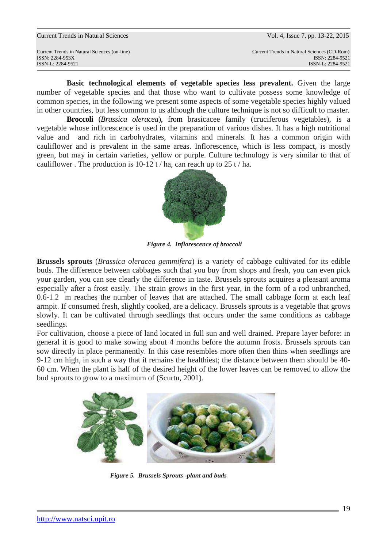**Basic technological elements of vegetable species less prevalent.** Given the large number of vegetable species and that those who want to cultivate possess some knowledge of common species, in the following we present some aspects of some vegetable species highly valued in other countries, but less common to us although the culture technique is not so difficult to master.

 **Broccoli** (*Brassica oleracea*), from brasicacee family (cruciferous vegetables), is a vegetable whose inflorescence is used in the preparation of various dishes. It has a high nutritional value and and rich in carbohydrates, vitamins and minerals. It has a common origin with cauliflower and is prevalent in the same areas. Inflorescence, which is less compact, is mostly green, but may in certain varieties, yellow or purple. Culture technology is very similar to that of cauliflower. The production is  $10-12$  t / ha, can reach up to  $25$  t / ha.



 *Figure 4. Inflorescence of broccoli*

**Brussels sprouts** (*Brassica oleracea gemmifera*) is a variety of cabbage cultivated for its edible buds. The difference between cabbages such that you buy from shops and fresh, you can even pick your garden, you can see clearly the difference in taste. Brussels sprouts acquires a pleasant aroma especially after a frost easily. The strain grows in the first year, in the form of a rod unbranched, 0.6-1.2 m reaches the number of leaves that are attached. The small cabbage form at each leaf armpit. If consumed fresh, slightly cooked, are a delicacy. Brussels sprouts is a vegetable that grows slowly. It can be cultivated through seedlings that occurs under the same conditions as cabbage seedlings.

For cultivation, choose a piece of land located in full sun and well drained. Prepare layer before: in general it is good to make sowing about 4 months before the autumn frosts. Brussels sprouts can sow directly in place permanently. In this case resembles more often then thins when seedlings are 9-12 cm high, in such a way that it remains the healthiest; the distance between them should be 40- 60 cm. When the plant is half of the desired height of the lower leaves can be removed to allow the bud sprouts to grow to a maximum of (Scurtu, 2001).



 *Figure 5. Brussels Sprouts -plant and buds*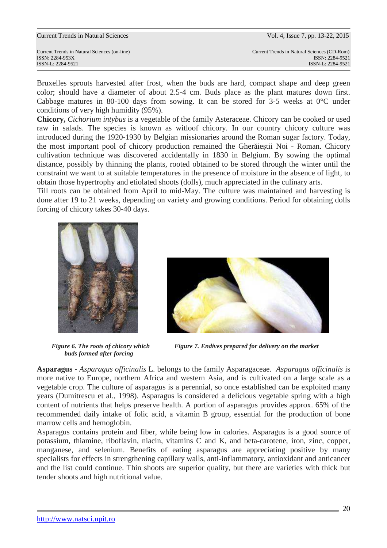Bruxelles sprouts harvested after frost, when the buds are hard, compact shape and deep green color; should have a diameter of about 2.5-4 cm. Buds place as the plant matures down first. Cabbage matures in 80-100 days from sowing. It can be stored for 3-5 weeks at  $0^{\circ}$ C under conditions of very high humidity (95%).

**Chicory,** *Cichorium intybus* is a vegetable of the family Asteraceae. Chicory can be cooked or used raw in salads. The species is known as witloof chicory. In our country chicory culture was introduced during the 1920-1930 by Belgian missionaries around the Roman sugar factory. Today, the most important pool of chicory production remained the Gherăieştii Noi - Roman. Chicory cultivation technique was discovered accidentally in 1830 in Belgium. By sowing the optimal distance, possibly by thinning the plants, rooted obtained to be stored through the winter until the constraint we want to at suitable temperatures in the presence of moisture in the absence of light, to obtain those hypertrophy and etiolated shoots (dolls), much appreciated in the culinary arts.

Till roots can be obtained from April to mid-May. The culture was maintained and harvesting is done after 19 to 21 weeks, depending on variety and growing conditions. Period for obtaining dolls forcing of chicory takes 30-40 days.



 *buds formed after forcing* 



*Figure 6. The roots of chicory which* Figure 7. Endives prepared for delivery on the market

**Asparagus -** *Asparagus officinalis* L. belongs to the family Asparagaceae. *Asparagus officinalis* is more native to Europe, northern Africa and western Asia, and is cultivated on a large scale as a vegetable crop. The culture of asparagus is a perennial, so once established can be exploited many years (Dumitrescu et al., 1998). Asparagus is considered a delicious vegetable spring with a high content of nutrients that helps preserve health. A portion of asparagus provides approx. 65% of the recommended daily intake of folic acid, a vitamin B group, essential for the production of bone marrow cells and hemoglobin.

Asparagus contains protein and fiber, while being low in calories. Asparagus is a good source of potassium, thiamine, riboflavin, niacin, vitamins C and K, and beta-carotene, iron, zinc, copper, manganese, and selenium. Benefits of eating asparagus are appreciating positive by many specialists for effects in strengthening capillary walls, anti-inflammatory, antioxidant and anticancer and the list could continue. Thin shoots are superior quality, but there are varieties with thick but tender shoots and high nutritional value.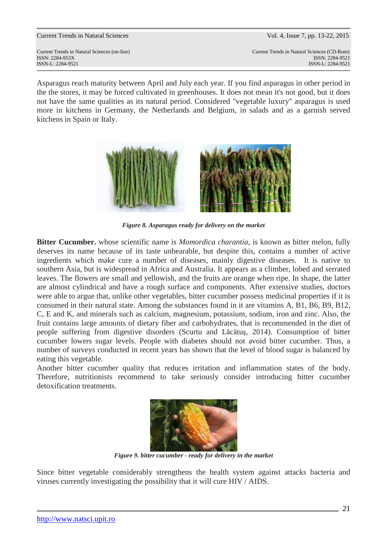Current Trends in Natural Sciences (on-line) Current Trends in Natural Sciences (CD-Rom) ISSN: 2284-953XISSN: 2284-9521 ISSN-L: 2284-9521 ISSN-L: 2284-9521

Asparagus reach maturity between April and July each year. If you find asparagus in other period in the the stores, it may be forced cultivated in greenhouses. It does not mean it's not good, but it does not have the same qualities as its natural period. Considered "vegetable luxury" asparagus is used more in kitchens in Germany, the Netherlands and Belgium, in salads and as a garnish served kitchens in Spain or Italy.



*Figure 8. Asparagus ready for delivery on the market* 

**Bitter Cucumber.** whose scientific name is *Momordica charantia,* is known as bitter melon, fully deserves its name because of its taste unbearable, but despite this, contains a number of active ingredients which make cure a number of diseases, mainly digestive diseases. It is native to southern Asia, but is widespread in Africa and Australia. It appears as a climber, lobed and serrated leaves. The flowers are small and yellowish, and the fruits are orange when ripe. In shape, the latter are almost cylindrical and have a rough surface and components. After extensive studies, doctors were able to argue that, unlike other vegetables, bitter cucumber possess medicinal properties if it is consumed in their natural state. Among the substances found in it are vitamins A, B1, B6, B9, B12, C, E and K, and minerals such as calcium, magnesium, potassium, sodium, iron and zinc. Also, the fruit contains large amounts of dietary fiber and carbohydrates, that is recommended in the diet of people suffering from digestive disorders (Scurtu and Lăcătuş, 2014). Consumption of bitter cucumber lowers sugar levels. People with diabetes should not avoid bitter cucumber. Thus, a number of surveys conducted in recent years has shown that the level of blood sugar is balanced by eating this vegetable.

Another bitter cucumber quality that reduces irritation and inflammation states of the body. Therefore, nutritionists recommend to take seriously consider introducing bitter cucumber detoxification treatments.



*Figure 9. bitter cucumber - ready for delivery in the market* 

Since bitter vegetable considerably strengthens the health system against attacks bacteria and viruses currently investigating the possibility that it will cure HIV / AIDS.